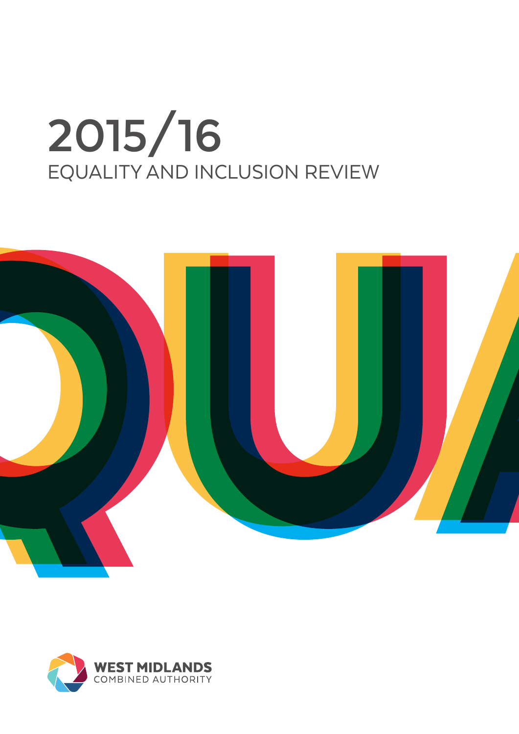# **2015/16**  EQUALITY AND INCLUSION REVIEW



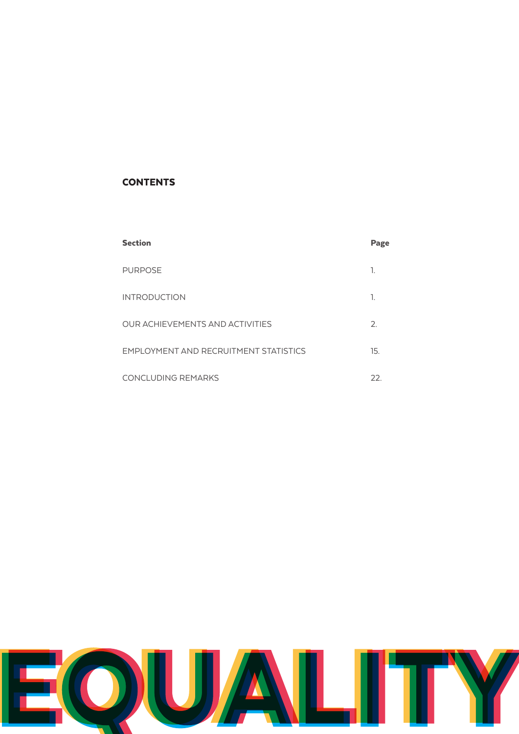# **CONTENTS**

| <b>Section</b>                        | Page |
|---------------------------------------|------|
| <b>PURPOSE</b>                        | 1.   |
| <b>INTRODUCTION</b>                   | 1.   |
| OUR ACHIEVEMENTS AND ACTIVITIES       | 2.   |
| EMPLOYMENT AND RECRUITMENT STATISTICS | 15.  |
| <b>CONCLUDING REMARKS</b>             | 22.  |

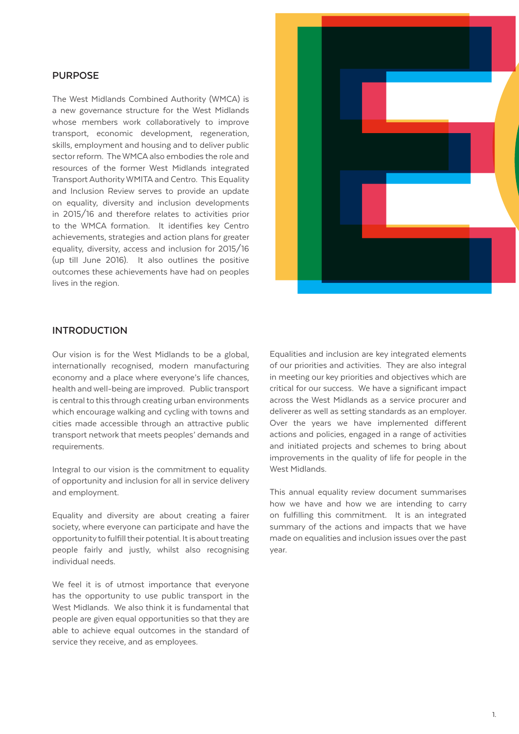## **PURPOSE**

The West Midlands Combined Authority (WMCA) is a new governance structure for the West Midlands whose members work collaboratively to improve transport, economic development, regeneration, skills, employment and housing and to deliver public sector reform. The WMCA also embodies the role and resources of the former West Midlands integrated Transport Authority WMITA and Centro. This Equality and Inclusion Review serves to provide an update on equality, diversity and inclusion developments in 2015/16 and therefore relates to activities prior to the WMCA formation. It identifies key Centro achievements, strategies and action plans for greater equality, diversity, access and inclusion for 2015/16 (up till June 2016). It also outlines the positive outcomes these achievements have had on peoples lives in the region.



## **INTRODUCTION**

Our vision is for the West Midlands to be a global, internationally recognised, modern manufacturing economy and a place where everyone's life chances, health and well-being are improved. Public transport is central to this through creating urban environments which encourage walking and cycling with towns and cities made accessible through an attractive public transport network that meets peoples' demands and requirements.

Integral to our vision is the commitment to equality of opportunity and inclusion for all in service delivery and employment.

Equality and diversity are about creating a fairer society, where everyone can participate and have the opportunity to fulfill their potential. It is about treating people fairly and justly, whilst also recognising individual needs.

We feel it is of utmost importance that everyone has the opportunity to use public transport in the West Midlands. We also think it is fundamental that people are given equal opportunities so that they are able to achieve equal outcomes in the standard of service they receive, and as employees.

Equalities and inclusion are key integrated elements of our priorities and activities. They are also integral in meeting our key priorities and objectives which are critical for our success. We have a significant impact across the West Midlands as a service procurer and deliverer as well as setting standards as an employer. Over the years we have implemented different actions and policies, engaged in a range of activities and initiated projects and schemes to bring about improvements in the quality of life for people in the West Midlands.

This annual equality review document summarises how we have and how we are intending to carry on fulfilling this commitment. It is an integrated summary of the actions and impacts that we have made on equalities and inclusion issues over the past year.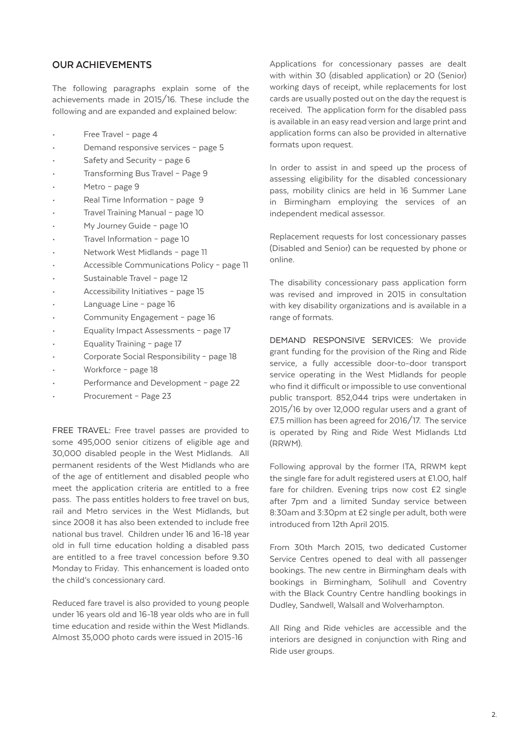# **OUR ACHIEVEMENTS**

The following paragraphs explain some of the achievements made in 2015/16. These include the following and are expanded and explained below:

- Free Travel page 4
- Demand responsive services page 5
- Safety and Security page 6
- Transforming Bus Travel Page 9
- Metro page 9
- Real Time Information page 9
- Travel Training Manual page 10
- My Journey Guide page 10
- Travel Information page 10
- Network West Midlands page 11
- Accessible Communications Policy page 11
- Sustainable Travel page 12
- Accessibility Initiatives page 15
- Language Line page 16
- Community Engagement page 16
- Equality Impact Assessments page 17
- Equality Training page 17
- Corporate Social Responsibility page 18
- Workforce page 18
- Performance and Development page 22
- Procurement Page 23

FREE TRAVEL: Free travel passes are provided to some 495,000 senior citizens of eligible age and 30,000 disabled people in the West Midlands. All permanent residents of the West Midlands who are of the age of entitlement and disabled people who meet the application criteria are entitled to a free pass. The pass entitles holders to free travel on bus, rail and Metro services in the West Midlands, but since 2008 it has also been extended to include free national bus travel. Children under 16 and 16-18 year old in full time education holding a disabled pass are entitled to a free travel concession before 9.30 Monday to Friday. This enhancement is loaded onto the child's concessionary card.

Reduced fare travel is also provided to young people under 16 years old and 16-18 year olds who are in full time education and reside within the West Midlands. Almost 35,000 photo cards were issued in 2015-16

Applications for concessionary passes are dealt with within 30 (disabled application) or 20 (Senior) working days of receipt, while replacements for lost cards are usually posted out on the day the request is received. The application form for the disabled pass is available in an easy read version and large print and application forms can also be provided in alternative formats upon request.

In order to assist in and speed up the process of assessing eligibility for the disabled concessionary pass, mobility clinics are held in 16 Summer Lane in Birmingham employing the services of an independent medical assessor.

Replacement requests for lost concessionary passes (Disabled and Senior) can be requested by phone or online.

The disability concessionary pass application form was revised and improved in 2015 in consultation with key disability organizations and is available in a range of formats.

DEMAND RESPONSIVE SERVICES: We provide grant funding for the provision of the Ring and Ride service, a fully accessible door-to-door transport service operating in the West Midlands for people who find it difficult or impossible to use conventional public transport. 852,044 trips were undertaken in 2015/16 by over 12,000 regular users and a grant of £7.5 million has been agreed for 2016/17. The service is operated by Ring and Ride West Midlands Ltd (RRWM).

Following approval by the former ITA, RRWM kept the single fare for adult registered users at £1.00, half fare for children. Evening trips now cost £2 single after 7pm and a limited Sunday service between 8:30am and 3:30pm at £2 single per adult, both were introduced from 12th April 2015.

From 30th March 2015, two dedicated Customer Service Centres opened to deal with all passenger bookings. The new centre in Birmingham deals with bookings in Birmingham, Solihull and Coventry with the Black Country Centre handling bookings in Dudley, Sandwell, Walsall and Wolverhampton.

All Ring and Ride vehicles are accessible and the interiors are designed in conjunction with Ring and Ride user groups.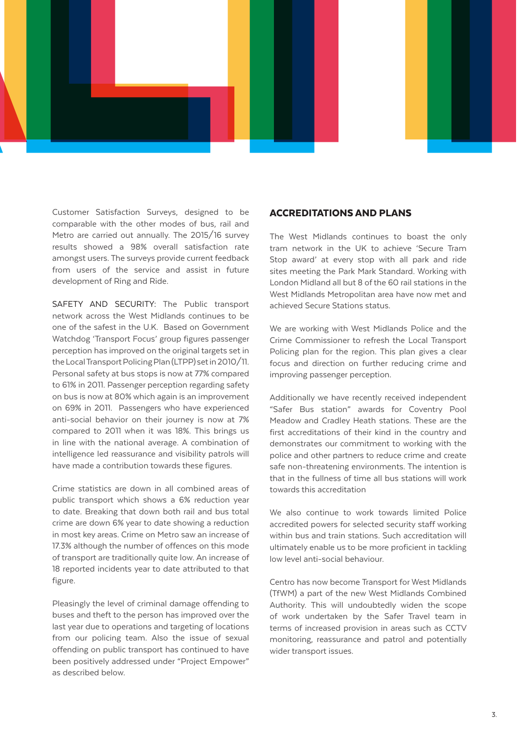

Customer Satisfaction Surveys, designed to be comparable with the other modes of bus, rail and Metro are carried out annually. The 2015/16 survey results showed a 98% overall satisfaction rate amongst users. The surveys provide current feedback from users of the service and assist in future development of Ring and Ride.

SAFETY AND SECURITY: The Public transport network across the West Midlands continues to be one of the safest in the U.K. Based on Government Watchdog 'Transport Focus' group figures passenger perception has improved on the original targets set in the Local Transport Policing Plan (LTPP) set in 2010/11. Personal safety at bus stops is now at 77% compared to 61% in 2011. Passenger perception regarding safety on bus is now at 80% which again is an improvement on 69% in 2011. Passengers who have experienced anti-social behavior on their journey is now at 7% compared to 2011 when it was 18%. This brings us in line with the national average. A combination of intelligence led reassurance and visibility patrols will have made a contribution towards these figures.

Crime statistics are down in all combined areas of public transport which shows a 6% reduction year to date. Breaking that down both rail and bus total crime are down 6% year to date showing a reduction in most key areas. Crime on Metro saw an increase of 17.3% although the number of offences on this mode of transport are traditionally quite low. An increase of 18 reported incidents year to date attributed to that figure.

Pleasingly the level of criminal damage offending to buses and theft to the person has improved over the last year due to operations and targeting of locations from our policing team. Also the issue of sexual offending on public transport has continued to have been positively addressed under "Project Empower" as described below.

#### ACCREDITATIONS AND PLANS

The West Midlands continues to boast the only tram network in the UK to achieve 'Secure Tram Stop award' at every stop with all park and ride sites meeting the Park Mark Standard. Working with London Midland all but 8 of the 60 rail stations in the West Midlands Metropolitan area have now met and achieved Secure Stations status.

We are working with West Midlands Police and the Crime Commissioner to refresh the Local Transport Policing plan for the region. This plan gives a clear focus and direction on further reducing crime and improving passenger perception.

Additionally we have recently received independent "Safer Bus station" awards for Coventry Pool Meadow and Cradley Heath stations. These are the first accreditations of their kind in the country and demonstrates our commitment to working with the police and other partners to reduce crime and create safe non-threatening environments. The intention is that in the fullness of time all bus stations will work towards this accreditation

We also continue to work towards limited Police accredited powers for selected security staff working within bus and train stations. Such accreditation will ultimately enable us to be more proficient in tackling low level anti-social behaviour.

Centro has now become Transport for West Midlands (TfWM) a part of the new West Midlands Combined Authority. This will undoubtedly widen the scope of work undertaken by the Safer Travel team in terms of increased provision in areas such as CCTV monitoring, reassurance and patrol and potentially wider transport issues.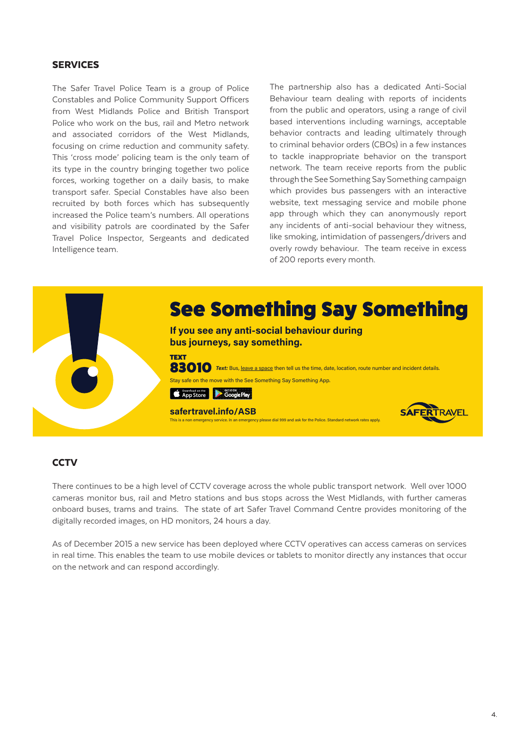# SERVICES

The Safer Travel Police Team is a group of Police Constables and Police Community Support Officers from West Midlands Police and British Transport Police who work on the bus, rail and Metro network and associated corridors of the West Midlands, focusing on crime reduction and community safety. This 'cross mode' policing team is the only team of its type in the country bringing together two police forces, working together on a daily basis, to make transport safer. Special Constables have also been recruited by both forces which has subsequently increased the Police team's numbers. All operations and visibility patrols are coordinated by the Safer Travel Police Inspector, Sergeants and dedicated Intelligence team.

The partnership also has a dedicated Anti-Social Behaviour team dealing with reports of incidents from the public and operators, using a range of civil based interventions including warnings, acceptable behavior contracts and leading ultimately through to criminal behavior orders (CBOs) in a few instances to tackle inappropriate behavior on the transport network. The team receive reports from the public through the See Something Say Something campaign which provides bus passengers with an interactive website, text messaging service and mobile phone app through which they can anonymously report any incidents of anti-social behaviour they witness, like smoking, intimidation of passengers/drivers and overly rowdy behaviour. The team receive in excess of 200 reports every month.



## **CCTV**

There continues to be a high level of CCTV coverage across the whole public transport network. Well over 1000 cameras monitor bus, rail and Metro stations and bus stops across the West Midlands, with further cameras onboard buses, trams and trains. The state of art Safer Travel Command Centre provides monitoring of the digitally recorded images, on HD monitors, 24 hours a day.

As of December 2015 a new service has been deployed where CCTV operatives can access cameras on services in real time. This enables the team to use mobile devices or tablets to monitor directly any instances that occur on the network and can respond accordingly.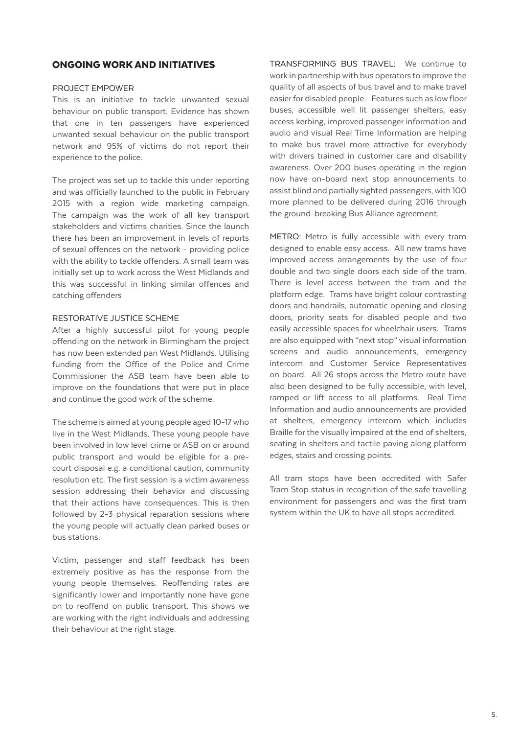## ONGOING WORK AND INITIATIVES

#### PROJECT EMPOWER

This is an initiative to tackle unwanted sexual behaviour on public transport. Evidence has shown that one in ten passengers have experienced unwanted sexual behaviour on the public transport network and 95% of victims do not report their experience to the police.

The project was set up to tackle this under reporting and was officially launched to the public in February 2015 with a region wide marketing campaign. The campaign was the work of all key transport stakeholders and victims charities. Since the launch there has been an improvement in levels of reports of sexual offences on the network - providing police with the ability to tackle offenders. A small team was initially set up to work across the West Midlands and this was successful in linking similar offences and catching offenders

#### RESTORATIVE JUSTICE SCHEME

After a highly successful pilot for young people offending on the network in Birmingham the project has now been extended pan West Midlands. Utilising funding from the Office of the Police and Crime Commissioner the ASB team have been able to improve on the foundations that were put in place and continue the good work of the scheme.

The scheme is aimed at young people aged 10-17 who live in the West Midlands. These young people have been involved in low level crime or ASB on or around public transport and would be eligible for a precourt disposal e.g. a conditional caution, community resolution etc. The first session is a victim awareness session addressing their behavior and discussing that their actions have consequences. This is then followed by 2-3 physical reparation sessions where the young people will actually clean parked buses or bus stations.

Victim, passenger and staff feedback has been extremely positive as has the response from the young people themselves. Reoffending rates are significantly lower and importantly none have gone on to reoffend on public transport. This shows we are working with the right individuals and addressing their behaviour at the right stage.

TRANSFORMING BUS TRAVEL: We continue to work in partnership with bus operators to improve the quality of all aspects of bus travel and to make travel easier for disabled people. Features such as low floor buses, accessible well lit passenger shelters, easy access kerbing, improved passenger information and audio and visual Real Time Information are helping to make bus travel more attractive for everybody with drivers trained in customer care and disability awareness. Over 200 buses operating in the region now have on-board next stop announcements to assist blind and partially sighted passengers, with 100 more planned to be delivered during 2016 through the ground-breaking Bus Alliance agreement.

METRO: Metro is fully accessible with every tram designed to enable easy access. All new trams have improved access arrangements by the use of four double and two single doors each side of the tram. There is level access between the tram and the platform edge. Trams have bright colour contrasting doors and handrails, automatic opening and closing doors, priority seats for disabled people and two easily accessible spaces for wheelchair users. Trams are also equipped with "next stop" visual information screens and audio announcements, emergency intercom and Customer Service Representatives on board. All 26 stops across the Metro route have also been designed to be fully accessible, with level, ramped or lift access to all platforms. Real Time Information and audio announcements are provided at shelters, emergency intercom which includes Braille for the visually impaired at the end of shelters, seating in shelters and tactile paving along platform edges, stairs and crossing points.

All tram stops have been accredited with Safer Tram Stop status in recognition of the safe travelling environment for passengers and was the first tram system within the UK to have all stops accredited.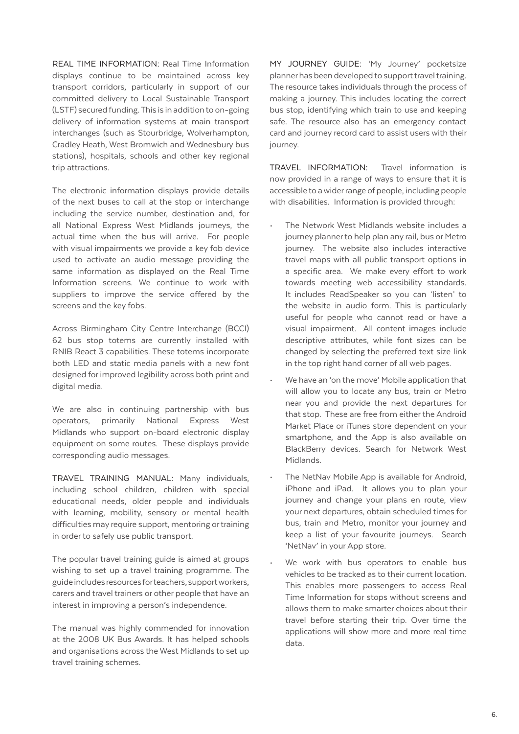REAL TIME INFORMATION: Real Time Information displays continue to be maintained across key transport corridors, particularly in support of our committed delivery to Local Sustainable Transport (LSTF) secured funding. This is in addition to on-going delivery of information systems at main transport interchanges (such as Stourbridge, Wolverhampton, Cradley Heath, West Bromwich and Wednesbury bus stations), hospitals, schools and other key regional trip attractions.

The electronic information displays provide details of the next buses to call at the stop or interchange including the service number, destination and, for all National Express West Midlands journeys, the actual time when the bus will arrive. For people with visual impairments we provide a key fob device used to activate an audio message providing the same information as displayed on the Real Time Information screens. We continue to work with suppliers to improve the service offered by the screens and the key fobs.

Across Birmingham City Centre Interchange (BCCI) 62 bus stop totems are currently installed with RNIB React 3 capabilities. These totems incorporate both LED and static media panels with a new font designed for improved legibility across both print and digital media.

We are also in continuing partnership with bus operators, primarily National Express West Midlands who support on-board electronic display equipment on some routes. These displays provide corresponding audio messages.

TRAVEL TRAINING MANUAL: Many individuals, including school children, children with special educational needs, older people and individuals with learning, mobility, sensory or mental health difficulties may require support, mentoring or training in order to safely use public transport.

The popular travel training guide is aimed at groups wishing to set up a travel training programme. The guide includes resources for teachers, support workers, carers and travel trainers or other people that have an interest in improving a person's independence.

The manual was highly commended for innovation at the 2008 UK Bus Awards. It has helped schools and organisations across the West Midlands to set up travel training schemes.

MY JOURNEY GUIDE: 'My Journey' pocketsize planner has been developed to support travel training. The resource takes individuals through the process of making a journey. This includes locating the correct bus stop, identifying which train to use and keeping safe. The resource also has an emergency contact card and journey record card to assist users with their journey.

TRAVEL INFORMATION: Travel information is now provided in a range of ways to ensure that it is accessible to a wider range of people, including people with disabilities. Information is provided through:

- The Network West Midlands website includes a journey planner to help plan any rail, bus or Metro journey. The website also includes interactive travel maps with all public transport options in a specific area. We make every effort to work towards meeting web accessibility standards. It includes ReadSpeaker so you can 'listen' to the website in audio form. This is particularly useful for people who cannot read or have a visual impairment. All content images include descriptive attributes, while font sizes can be changed by selecting the preferred text size link in the top right hand corner of all web pages.
- We have an 'on the move' Mobile application that will allow you to locate any bus, train or Metro near you and provide the next departures for that stop. These are free from either the Android Market Place or iTunes store dependent on your smartphone, and the App is also available on BlackBerry devices. Search for Network West Midlands.
- The NetNav Mobile App is available for Android, iPhone and iPad. It allows you to plan your journey and change your plans en route, view your next departures, obtain scheduled times for bus, train and Metro, monitor your journey and keep a list of your favourite journeys. Search 'NetNav' in your App store.
- We work with bus operators to enable bus vehicles to be tracked as to their current location. This enables more passengers to access Real Time Information for stops without screens and allows them to make smarter choices about their travel before starting their trip. Over time the applications will show more and more real time data.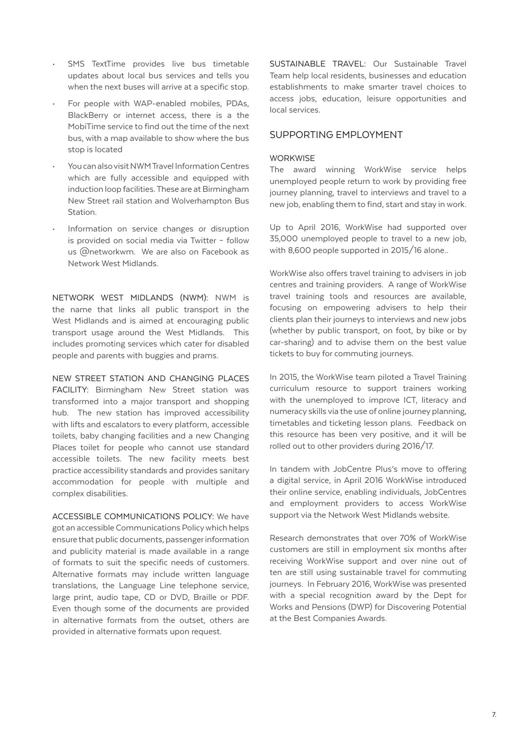- SMS TextTime provides live bus timetable updates about local bus services and tells you when the next buses will arrive at a specific stop.
- For people with WAP-enabled mobiles, PDAs, BlackBerry or internet access, there is a the MobiTime service to find out the time of the next bus, with a map available to show where the bus stop is located
- You can also visit NWM Travel Information Centres which are fully accessible and equipped with induction loop facilities. These are at Birmingham New Street rail station and Wolverhampton Bus Station.
- Information on service changes or disruption is provided on social media via Twitter – follow us @networkwm. We are also on Facebook as Network West Midlands.

NETWORK WEST MIDLANDS (NWM): NWM is the name that links all public transport in the West Midlands and is aimed at encouraging public transport usage around the West Midlands. This includes promoting services which cater for disabled people and parents with buggies and prams.

NEW STREET STATION AND CHANGING PLACES FACILITY: Birmingham New Street station was transformed into a major transport and shopping hub. The new station has improved accessibility with lifts and escalators to every platform, accessible toilets, baby changing facilities and a new Changing Places toilet for people who cannot use standard accessible toilets. The new facility meets best practice accessibility standards and provides sanitary accommodation for people with multiple and complex disabilities.

ACCESSIBLE COMMUNICATIONS POLICY: We have got an accessible Communications Policy which helps ensure that public documents, passenger information and publicity material is made available in a range of formats to suit the specific needs of customers. Alternative formats may include written language translations, the Language Line telephone service, large print, audio tape, CD or DVD, Braille or PDF. Even though some of the documents are provided in alternative formats from the outset, others are provided in alternative formats upon request.

SUSTAINABLE TRAVEL: Our Sustainable Travel Team help local residents, businesses and education establishments to make smarter travel choices to access jobs, education, leisure opportunities and local services.

## SUPPORTING EMPLOYMENT

#### **WORKWISE**

The award winning WorkWise service helps unemployed people return to work by providing free journey planning, travel to interviews and travel to a new job, enabling them to find, start and stay in work.

Up to April 2016, WorkWise had supported over 35,000 unemployed people to travel to a new job, with 8,600 people supported in 2015/16 alone..

WorkWise also offers travel training to advisers in job centres and training providers. A range of WorkWise travel training tools and resources are available, focusing on empowering advisers to help their clients plan their journeys to interviews and new jobs (whether by public transport, on foot, by bike or by car-sharing) and to advise them on the best value tickets to buy for commuting journeys.

In 2015, the WorkWise team piloted a Travel Training curriculum resource to support trainers working with the unemployed to improve ICT, literacy and numeracy skills via the use of online journey planning, timetables and ticketing lesson plans. Feedback on this resource has been very positive, and it will be rolled out to other providers during 2016/17.

In tandem with JobCentre Plus's move to offering a digital service, in April 2016 WorkWise introduced their online service, enabling individuals, JobCentres and employment providers to access WorkWise support via the Network West Midlands website.

Research demonstrates that over 70% of WorkWise customers are still in employment six months after receiving WorkWise support and over nine out of ten are still using sustainable travel for commuting journeys. In February 2016, WorkWise was presented with a special recognition award by the Dept for Works and Pensions (DWP) for Discovering Potential at the Best Companies Awards.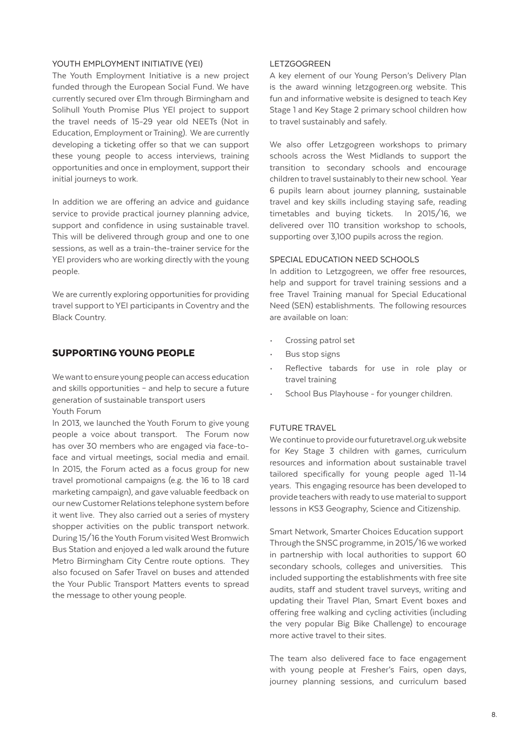#### YOUTH FMPLOYMENT INITIATIVE (YEI)

The Youth Employment Initiative is a new project funded through the European Social Fund. We have currently secured over £1m through Birmingham and Solihull Youth Promise Plus YEI project to support the travel needs of 15-29 year old NEETs (Not in Education, Employment or Training). We are currently developing a ticketing offer so that we can support these young people to access interviews, training opportunities and once in employment, support their initial journeys to work.

In addition we are offering an advice and guidance service to provide practical journey planning advice, support and confidence in using sustainable travel. This will be delivered through group and one to one sessions, as well as a train-the-trainer service for the YEI providers who are working directly with the young people.

We are currently exploring opportunities for providing travel support to YEI participants in Coventry and the Black Country.

# SUPPORTING YOUNG PEOPLE

We want to ensure young people can access education and skills opportunities – and help to secure a future generation of sustainable transport users Youth Forum

In 2013, we launched the Youth Forum to give young people a voice about transport. The Forum now has over 30 members who are engaged via face-toface and virtual meetings, social media and email. In 2015, the Forum acted as a focus group for new travel promotional campaigns (e.g. the 16 to 18 card marketing campaign), and gave valuable feedback on our new Customer Relations telephone system before it went live. They also carried out a series of mystery shopper activities on the public transport network. During 15/16 the Youth Forum visited West Bromwich Bus Station and enjoyed a led walk around the future Metro Birmingham City Centre route options. They also focused on Safer Travel on buses and attended the Your Public Transport Matters events to spread the message to other young people.

## LETZGOGREEN

A key element of our Young Person's Delivery Plan is the award winning letzgogreen.org website. This fun and informative website is designed to teach Key Stage 1 and Key Stage 2 primary school children how to travel sustainably and safely.

We also offer Letzgogreen workshops to primary schools across the West Midlands to support the transition to secondary schools and encourage children to travel sustainably to their new school. Year 6 pupils learn about journey planning, sustainable travel and key skills including staying safe, reading timetables and buying tickets. In 2015/16, we delivered over 110 transition workshop to schools, supporting over 3,100 pupils across the region.

#### SPECIAL EDUCATION NEED SCHOOLS

In addition to Letzgogreen, we offer free resources, help and support for travel training sessions and a free Travel Training manual for Special Educational Need (SEN) establishments. The following resources are available on loan:

- Crossing patrol set
- Bus stop signs
- Reflective tabards for use in role play or travel training
- School Bus Playhouse for younger children.

## FUTURE TRAVEL

We continue to provide our futuretravel.org.uk website for Key Stage 3 children with games, curriculum resources and information about sustainable travel tailored specifically for young people aged 11-14 years. This engaging resource has been developed to provide teachers with ready to use material to support lessons in KS3 Geography, Science and Citizenship.

Smart Network, Smarter Choices Education support Through the SNSC programme, in 2015/16 we worked in partnership with local authorities to support 60 secondary schools, colleges and universities. This included supporting the establishments with free site audits, staff and student travel surveys, writing and updating their Travel Plan, Smart Event boxes and offering free walking and cycling activities (including the very popular Big Bike Challenge) to encourage more active travel to their sites.

The team also delivered face to face engagement with young people at Fresher's Fairs, open days, journey planning sessions, and curriculum based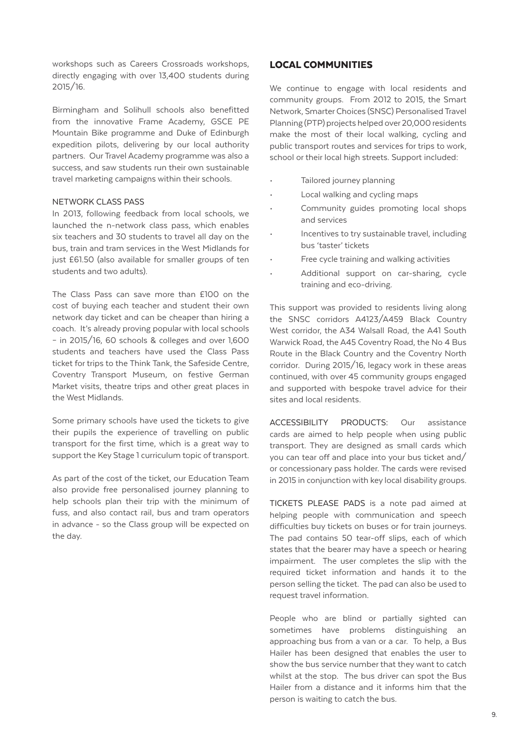workshops such as Careers Crossroads workshops, directly engaging with over 13,400 students during 2015/16.

Birmingham and Solihull schools also benefitted from the innovative Frame Academy, GSCE PE Mountain Bike programme and Duke of Edinburgh expedition pilots, delivering by our local authority partners. Our Travel Academy programme was also a success, and saw students run their own sustainable travel marketing campaigns within their schools.

#### NETWORK CLASS PASS

In 2013, following feedback from local schools, we launched the n-network class pass, which enables six teachers and 30 students to travel all day on the bus, train and tram services in the West Midlands for just £61.50 (also available for smaller groups of ten students and two adults).

The Class Pass can save more than £100 on the cost of buying each teacher and student their own network day ticket and can be cheaper than hiring a coach. It's already proving popular with local schools – in 2015/16, 60 schools & colleges and over 1,600 students and teachers have used the Class Pass ticket for trips to the Think Tank, the Safeside Centre, Coventry Transport Museum, on festive German Market visits, theatre trips and other great places in the West Midlands.

Some primary schools have used the tickets to give their pupils the experience of travelling on public transport for the first time, which is a great way to support the Key Stage 1 curriculum topic of transport.

As part of the cost of the ticket, our Education Team also provide free personalised journey planning to help schools plan their trip with the minimum of fuss, and also contact rail, bus and tram operators in advance - so the Class group will be expected on the day.

# LOCAL COMMUNITIES

We continue to engage with local residents and community groups. From 2012 to 2015, the Smart Network, Smarter Choices (SNSC) Personalised Travel Planning (PTP) projects helped over 20,000 residents make the most of their local walking, cycling and public transport routes and services for trips to work, school or their local high streets. Support included:

- Tailored journey planning
- Local walking and cycling maps
- Community guides promoting local shops and services
- Incentives to try sustainable travel, including bus 'taster' tickets
- Free cycle training and walking activities
- Additional support on car-sharing, cycle training and eco-driving.

This support was provided to residents living along the SNSC corridors A4123/A459 Black Country West corridor, the A34 Walsall Road, the A41 South Warwick Road, the A45 Coventry Road, the No 4 Bus Route in the Black Country and the Coventry North corridor. During 2015/16, legacy work in these areas continued, with over 45 community groups engaged and supported with bespoke travel advice for their sites and local residents.

ACCESSIBILITY PRODUCTS: Our assistance cards are aimed to help people when using public transport. They are designed as small cards which you can tear off and place into your bus ticket and/ or concessionary pass holder. The cards were revised in 2015 in conjunction with key local disability groups.

TICKETS PLEASE PADS is a note pad aimed at helping people with communication and speech difficulties buy tickets on buses or for train journeys. The pad contains 50 tear-off slips, each of which states that the bearer may have a speech or hearing impairment. The user completes the slip with the required ticket information and hands it to the person selling the ticket. The pad can also be used to request travel information.

People who are blind or partially sighted can sometimes have problems distinguishing an approaching bus from a van or a car. To help, a Bus Hailer has been designed that enables the user to show the bus service number that they want to catch whilst at the stop. The bus driver can spot the Bus Hailer from a distance and it informs him that the person is waiting to catch the bus.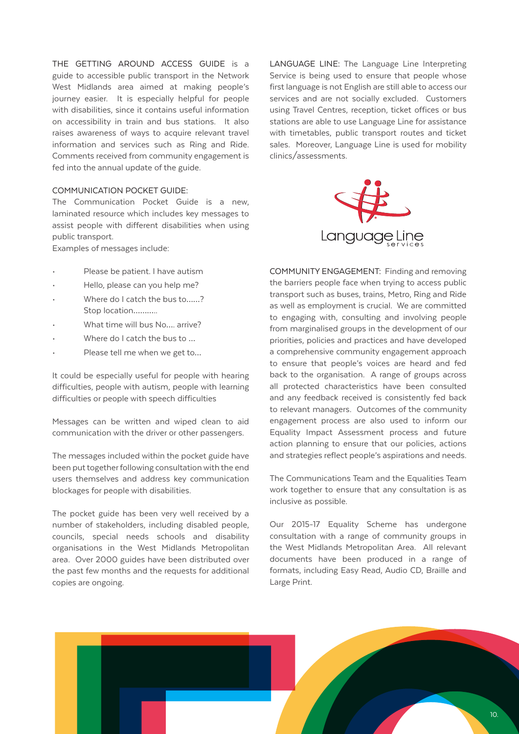THE GETTING AROUND ACCESS GUIDE is a guide to accessible public transport in the Network West Midlands area aimed at making people's journey easier. It is especially helpful for people with disabilities, since it contains useful information on accessibility in train and bus stations. It also raises awareness of ways to acquire relevant travel information and services such as Ring and Ride. Comments received from community engagement is fed into the annual update of the guide.

#### COMMUNICATION POCKET GUIDE:

The Communication Pocket Guide is a new, laminated resource which includes key messages to assist people with different disabilities when using public transport.

Examples of messages include:

- Please be patient. I have autism
- Hello, please can you help me?
- Where do I catch the bus to......? Stop location………..
- What time will bus No.... arrive?
- Where do I catch the bus to ...
- Please tell me when we get to...

It could be especially useful for people with hearing difficulties, people with autism, people with learning difficulties or people with speech difficulties

Messages can be written and wiped clean to aid communication with the driver or other passengers.

The messages included within the pocket guide have been put together following consultation with the end users themselves and address key communication blockages for people with disabilities.

The pocket guide has been very well received by a number of stakeholders, including disabled people, councils, special needs schools and disability organisations in the West Midlands Metropolitan area. Over 2000 guides have been distributed over the past few months and the requests for additional copies are ongoing.

LANGUAGE LINE: The Language Line Interpreting Service is being used to ensure that people whose first language is not English are still able to access our services and are not socially excluded. Customers using Travel Centres, reception, ticket offices or bus stations are able to use Language Line for assistance with timetables, public transport routes and ticket sales. Moreover, Language Line is used for mobility clinics/assessments.



COMMUNITY ENGAGEMENT: Finding and removing the barriers people face when trying to access public transport such as buses, trains, Metro, Ring and Ride as well as employment is crucial. We are committed to engaging with, consulting and involving people from marginalised groups in the development of our priorities, policies and practices and have developed a comprehensive community engagement approach to ensure that people's voices are heard and fed back to the organisation. A range of groups across all protected characteristics have been consulted and any feedback received is consistently fed back to relevant managers. Outcomes of the community engagement process are also used to inform our Equality Impact Assessment process and future action planning to ensure that our policies, actions and strategies reflect people's aspirations and needs.

The Communications Team and the Equalities Team work together to ensure that any consultation is as inclusive as possible.

Our 2015-17 Equality Scheme has undergone consultation with a range of community groups in the West Midlands Metropolitan Area. All relevant documents have been produced in a range of formats, including Easy Read, Audio CD, Braille and Large Print.

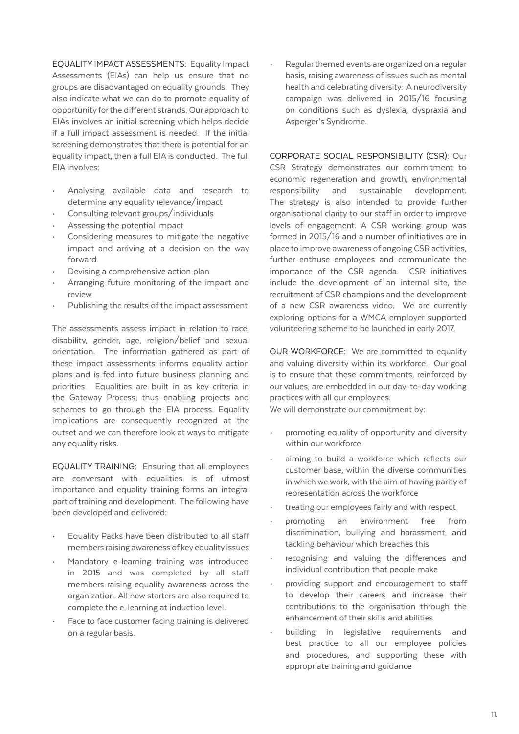EQUALITY IMPACT ASSESSMENTS: Equality Impact Assessments (EIAs) can help us ensure that no groups are disadvantaged on equality grounds. They also indicate what we can do to promote equality of opportunity for the different strands. Our approach to EIAs involves an initial screening which helps decide if a full impact assessment is needed. If the initial screening demonstrates that there is potential for an equality impact, then a full EIA is conducted. The full EIA involves:

- Analysing available data and research to determine any equality relevance/impact
- Consulting relevant groups/individuals
- Assessing the potential impact
- Considering measures to mitigate the negative impact and arriving at a decision on the way forward
- Devising a comprehensive action plan
- Arranging future monitoring of the impact and review
- Publishing the results of the impact assessment

The assessments assess impact in relation to race, disability, gender, age, religion/belief and sexual orientation. The information gathered as part of these impact assessments informs equality action plans and is fed into future business planning and priorities. Equalities are built in as key criteria in the Gateway Process, thus enabling projects and schemes to go through the EIA process. Equality implications are consequently recognized at the outset and we can therefore look at ways to mitigate any equality risks.

EQUALITY TRAINING: Ensuring that all employees are conversant with equalities is of utmost importance and equality training forms an integral part of training and development. The following have been developed and delivered:

- Equality Packs have been distributed to all staff members raising awareness of key equality issues
- Mandatory e-learning training was introduced in 2015 and was completed by all staff members raising equality awareness across the organization. All new starters are also required to complete the e-learning at induction level.
- Face to face customer facing training is delivered on a regular basis.

• Regular themed events are organized on a regular basis, raising awareness of issues such as mental health and celebrating diversity. A neurodiversity campaign was delivered in 2015/16 focusing on conditions such as dyslexia, dyspraxia and Asperger's Syndrome.

CORPORATE SOCIAL RESPONSIBILITY (CSR): Our CSR Strategy demonstrates our commitment to economic regeneration and growth, environmental responsibility and sustainable development. The strategy is also intended to provide further organisational clarity to our staff in order to improve levels of engagement. A CSR working group was formed in 2015/16 and a number of initiatives are in place to improve awareness of ongoing CSR activities, further enthuse employees and communicate the importance of the CSR agenda. CSR initiatives include the development of an internal site, the recruitment of CSR champions and the development of a new CSR awareness video. We are currently exploring options for a WMCA employer supported volunteering scheme to be launched in early 2017.

OUR WORKFORCE: We are committed to equality and valuing diversity within its workforce. Our goal is to ensure that these commitments, reinforced by our values, are embedded in our day-to-day working practices with all our employees.

We will demonstrate our commitment by:

- promoting equality of opportunity and diversity within our workforce
- aiming to build a workforce which reflects our customer base, within the diverse communities in which we work, with the aim of having parity of representation across the workforce
- treating our employees fairly and with respect
- promoting an environment free from discrimination, bullying and harassment, and tackling behaviour which breaches this
- recognising and valuing the differences and individual contribution that people make
- providing support and encouragement to staff to develop their careers and increase their contributions to the organisation through the enhancement of their skills and abilities
- building in legislative requirements and best practice to all our employee policies and procedures, and supporting these with appropriate training and guidance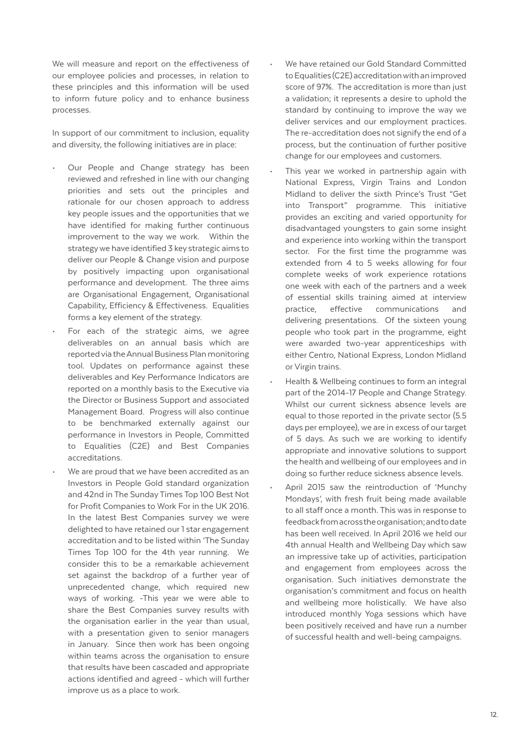We will measure and report on the effectiveness of our employee policies and processes, in relation to these principles and this information will be used to inform future policy and to enhance business processes.

In support of our commitment to inclusion, equality and diversity, the following initiatives are in place:

- Our People and Change strategy has been reviewed and refreshed in line with our changing priorities and sets out the principles and rationale for our chosen approach to address key people issues and the opportunities that we have identified for making further continuous improvement to the way we work. Within the strategy we have identified 3 key strategic aims to deliver our People & Change vision and purpose by positively impacting upon organisational performance and development. The three aims are Organisational Engagement, Organisational Capability, Efficiency & Effectiveness. Equalities forms a key element of the strategy.
- For each of the strategic aims, we agree deliverables on an annual basis which are reported via the Annual Business Plan monitoring tool. Updates on performance against these deliverables and Key Performance Indicators are reported on a monthly basis to the Executive via the Director or Business Support and associated Management Board. Progress will also continue to be benchmarked externally against our performance in Investors in People, Committed to Equalities (C2E) and Best Companies accreditations.
- We are proud that we have been accredited as an Investors in People Gold standard organization and 42nd in The Sunday Times Top 100 Best Not for Profit Companies to Work For in the UK 2016. In the latest Best Companies survey we were delighted to have retained our 1 star engagement accreditation and to be listed within 'The Sunday Times Top 100 for the 4th year running. We consider this to be a remarkable achievement set against the backdrop of a further year of unprecedented change, which required new ways of working. -This year we were able to share the Best Companies survey results with the organisation earlier in the year than usual, with a presentation given to senior managers in January. Since then work has been ongoing within teams across the organisation to ensure that results have been cascaded and appropriate actions identified and agreed - which will further improve us as a place to work.
- We have retained our Gold Standard Committed to Equalities (C2E) accreditation with an improved score of 97%. The accreditation is more than just a validation; it represents a desire to uphold the standard by continuing to improve the way we deliver services and our employment practices. The re-accreditation does not signify the end of a process, but the continuation of further positive change for our employees and customers.
- This year we worked in partnership again with National Express, Virgin Trains and London Midland to deliver the sixth Prince's Trust "Get into Transport" programme. This initiative provides an exciting and varied opportunity for disadvantaged youngsters to gain some insight and experience into working within the transport sector. For the first time the programme was extended from 4 to 5 weeks allowing for four complete weeks of work experience rotations one week with each of the partners and a week of essential skills training aimed at interview practice, effective communications and delivering presentations. Of the sixteen young people who took part in the programme, eight were awarded two-year apprenticeships with either Centro, National Express, London Midland or Virgin trains.
- Health & Wellbeing continues to form an integral part of the 2014-17 People and Change Strategy. Whilst our current sickness absence levels are equal to those reported in the private sector (5.5 days per employee), we are in excess of our target of 5 days. As such we are working to identify appropriate and innovative solutions to support the health and wellbeing of our employees and in doing so further reduce sickness absence levels.
- April 2015 saw the reintroduction of 'Munchy Mondays', with fresh fruit being made available to all staff once a month. This was in response to feedback from across the organisation; and to date has been well received. In April 2016 we held our 4th annual Health and Wellbeing Day which saw an impressive take up of activities, participation and engagement from employees across the organisation. Such initiatives demonstrate the organisation's commitment and focus on health and wellbeing more holistically. We have also introduced monthly Yoga sessions which have been positively received and have run a number of successful health and well-being campaigns.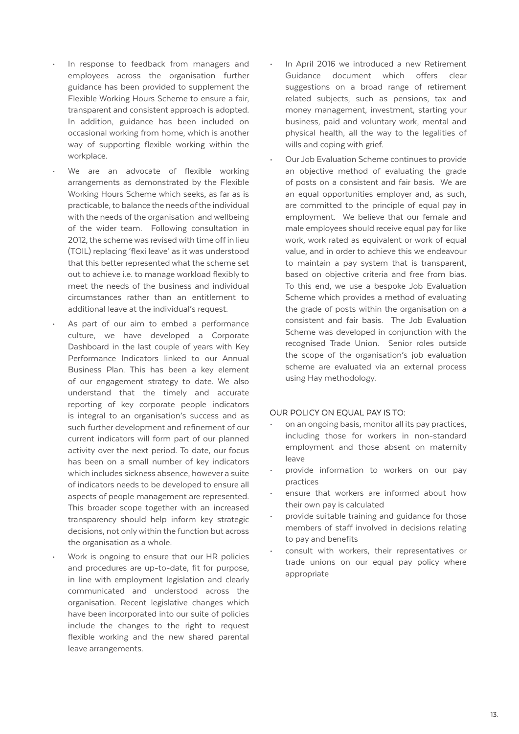- In response to feedback from managers and employees across the organisation further guidance has been provided to supplement the Flexible Working Hours Scheme to ensure a fair, transparent and consistent approach is adopted. In addition, guidance has been included on occasional working from home, which is another way of supporting flexible working within the workplace.
- We are an advocate of flexible working arrangements as demonstrated by the Flexible Working Hours Scheme which seeks, as far as is practicable, to balance the needs of the individual with the needs of the organisation and wellbeing of the wider team. Following consultation in 2012, the scheme was revised with time off in lieu (TOIL) replacing 'flexi leave' as it was understood that this better represented what the scheme set out to achieve i.e. to manage workload flexibly to meet the needs of the business and individual circumstances rather than an entitlement to additional leave at the individual's request.
- As part of our aim to embed a performance culture, we have developed a Corporate Dashboard in the last couple of years with Key Performance Indicators linked to our Annual Business Plan. This has been a key element of our engagement strategy to date. We also understand that the timely and accurate reporting of key corporate people indicators is integral to an organisation's success and as such further development and refinement of our current indicators will form part of our planned activity over the next period. To date, our focus has been on a small number of key indicators which includes sickness absence, however a suite of indicators needs to be developed to ensure all aspects of people management are represented. This broader scope together with an increased transparency should help inform key strategic decisions, not only within the function but across the organisation as a whole.
- Work is ongoing to ensure that our HR policies and procedures are up-to-date, fit for purpose, in line with employment legislation and clearly communicated and understood across the organisation. Recent legislative changes which have been incorporated into our suite of policies include the changes to the right to request flexible working and the new shared parental leave arrangements.
- In April 2016 we introduced a new Retirement Guidance document which offers clear suggestions on a broad range of retirement related subjects, such as pensions, tax and money management, investment, starting your business, paid and voluntary work, mental and physical health, all the way to the legalities of wills and coping with grief.
- Our Job Evaluation Scheme continues to provide an objective method of evaluating the grade of posts on a consistent and fair basis. We are an equal opportunities employer and, as such, are committed to the principle of equal pay in employment. We believe that our female and male employees should receive equal pay for like work, work rated as equivalent or work of equal value, and in order to achieve this we endeavour to maintain a pay system that is transparent, based on objective criteria and free from bias. To this end, we use a bespoke Job Evaluation Scheme which provides a method of evaluating the grade of posts within the organisation on a consistent and fair basis. The Job Evaluation Scheme was developed in conjunction with the recognised Trade Union. Senior roles outside the scope of the organisation's job evaluation scheme are evaluated via an external process using Hay methodology.

#### OUR POLICY ON EQUAL PAY IS TO:

- on an ongoing basis, monitor all its pay practices, including those for workers in non-standard employment and those absent on maternity leave
- provide information to workers on our pay practices
- ensure that workers are informed about how their own pay is calculated
- provide suitable training and guidance for those members of staff involved in decisions relating to pay and benefits
- consult with workers, their representatives or trade unions on our equal pay policy where appropriate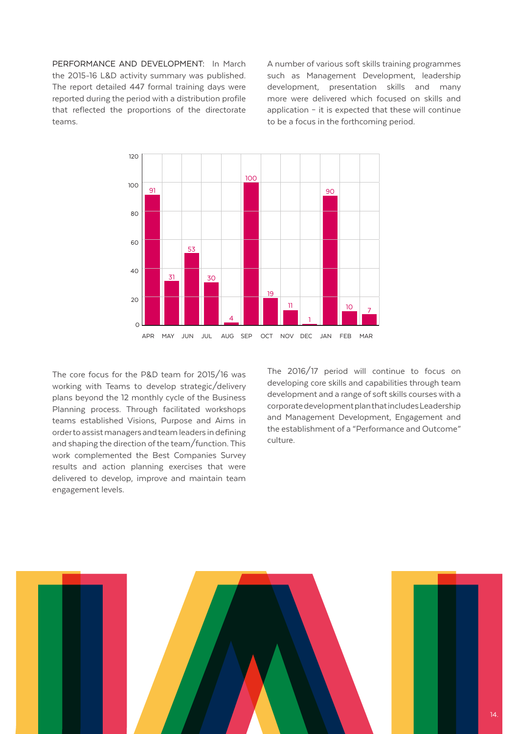PERFORMANCE AND DEVELOPMENT: In March the 2015-16 L&D activity summary was published. The report detailed 447 formal training days were reported during the period with a distribution profile that reflected the proportions of the directorate teams.

A number of various soft skills training programmes such as Management Development, leadership development, presentation skills and many more were delivered which focused on skills and application – it is expected that these will continue to be a focus in the forthcoming period.



The core focus for the P&D team for 2015/16 was working with Teams to develop strategic/delivery plans beyond the 12 monthly cycle of the Business Planning process. Through facilitated workshops teams established Visions, Purpose and Aims in order to assist managers and team leaders in defining and shaping the direction of the team/function. This work complemented the Best Companies Survey results and action planning exercises that were delivered to develop, improve and maintain team engagement levels.

The 2016/17 period will continue to focus on developing core skills and capabilities through team development and a range of soft skills courses with a corporate development plan that includes Leadership and Management Development, Engagement and the establishment of a "Performance and Outcome" culture.

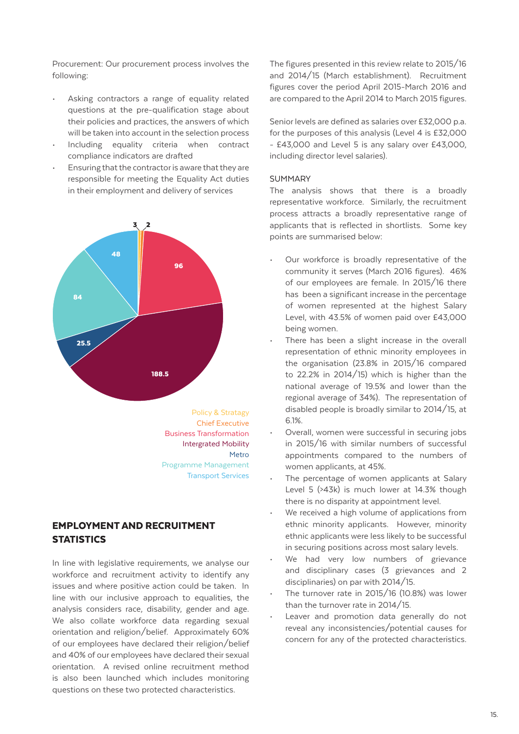Procurement: Our procurement process involves the following:

- Asking contractors a range of equality related questions at the pre-qualification stage about their policies and practices, the answers of which will be taken into account in the selection process
- Including equality criteria when contract compliance indicators are drafted
- Ensuring that the contractor is aware that they are responsible for meeting the Equality Act duties in their employment and delivery of services



Policy & Stratagy Chief Executive Business Transformation Intergrated Mobility Metro Programme Management Transport Services

# EMPLOYMENT AND RECRUITMENT **STATISTICS**

In line with legislative requirements, we analyse our workforce and recruitment activity to identify any issues and where positive action could be taken. In line with our inclusive approach to equalities, the analysis considers race, disability, gender and age. We also collate workforce data regarding sexual orientation and religion/belief. Approximately 60% of our employees have declared their religion/belief and 40% of our employees have declared their sexual orientation. A revised online recruitment method is also been launched which includes monitoring questions on these two protected characteristics.

The figures presented in this review relate to 2015/16 and 2014/15 (March establishment). Recruitment figures cover the period April 2015-March 2016 and are compared to the April 2014 to March 2015 figures.

Senior levels are defined as salaries over £32,000 p.a. for the purposes of this analysis (Level 4 is £32,000 - £43,000 and Level 5 is any salary over £43,000, including director level salaries).

#### SUMMARY

The analysis shows that there is a broadly representative workforce. Similarly, the recruitment process attracts a broadly representative range of applicants that is reflected in shortlists. Some key points are summarised below:

- Our workforce is broadly representative of the community it serves (March 2016 figures). 46% of our employees are female. In 2015/16 there has been a significant increase in the percentage of women represented at the highest Salary Level, with 43.5% of women paid over £43,000 being women.
- There has been a slight increase in the overall representation of ethnic minority employees in the organisation (23.8% in 2015/16 compared to 22.2% in 2014/15) which is higher than the national average of 19.5% and lower than the regional average of 34%). The representation of disabled people is broadly similar to 2014/15, at 6.1%.
- Overall, women were successful in securing jobs in 2015/16 with similar numbers of successful appointments compared to the numbers of women applicants, at 45%.
- The percentage of women applicants at Salary Level 5 (>43k) is much lower at 14.3% though there is no disparity at appointment level.
- We received a high volume of applications from ethnic minority applicants. However, minority ethnic applicants were less likely to be successful in securing positions across most salary levels.
- We had very low numbers of grievance and disciplinary cases (3 grievances and 2 disciplinaries) on par with 2014/15.
- The turnover rate in  $2015/16$  (10.8%) was lower than the turnover rate in 2014/15.
- Leaver and promotion data generally do not reveal any inconsistencies/potential causes for concern for any of the protected characteristics.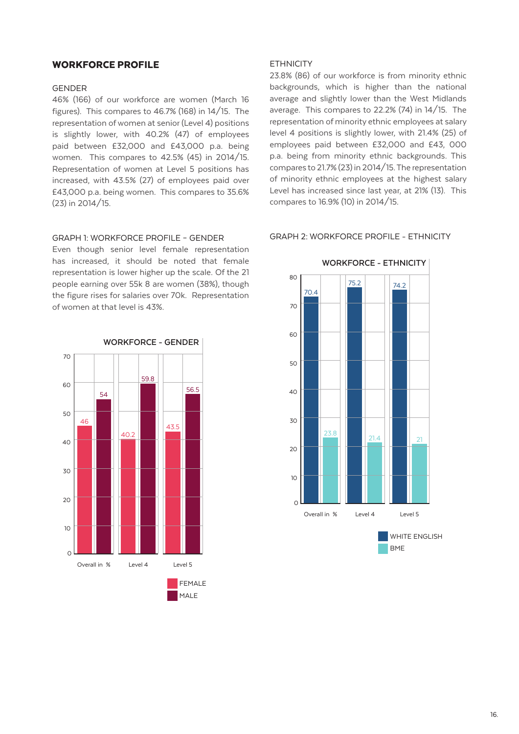## WORKFORCE PROFILE

#### GENDER

46% (166) of our workforce are women (March 16 figures). This compares to 46.7% (168) in 14/15. The representation of women at senior (Level 4) positions is slightly lower, with 40.2% (47) of employees paid between £32,000 and £43,000 p.a. being women. This compares to 42.5% (45) in 2014/15. Representation of women at Level 5 positions has increased, with 43.5% (27) of employees paid over £43,000 p.a. being women. This compares to 35.6% (23) in 2014/15.

#### GRAPH 1: WORKFORCE PROFILE – GENDER

Even though senior level female representation has increased, it should be noted that female representation is lower higher up the scale. Of the 21 people earning over 55k 8 are women (38%), though the figure rises for salaries over 70k. Representation of women at that level is 43%.



## **FTHNICITY**

23.8% (86) of our workforce is from minority ethnic backgrounds, which is higher than the national average and slightly lower than the West Midlands average. This compares to 22.2% (74) in 14/15. The representation of minority ethnic employees at salary level 4 positions is slightly lower, with 21.4% (25) of employees paid between £32,000 and £43, 000 p.a. being from minority ethnic backgrounds. This compares to 21.7% (23) in 2014/15. The representation of minority ethnic employees at the highest salary Level has increased since last year, at 21% (13). This compares to 16.9% (10) in 2014/15.



#### GRAPH 2: WORKFORCE PROFILE - ETHNICITY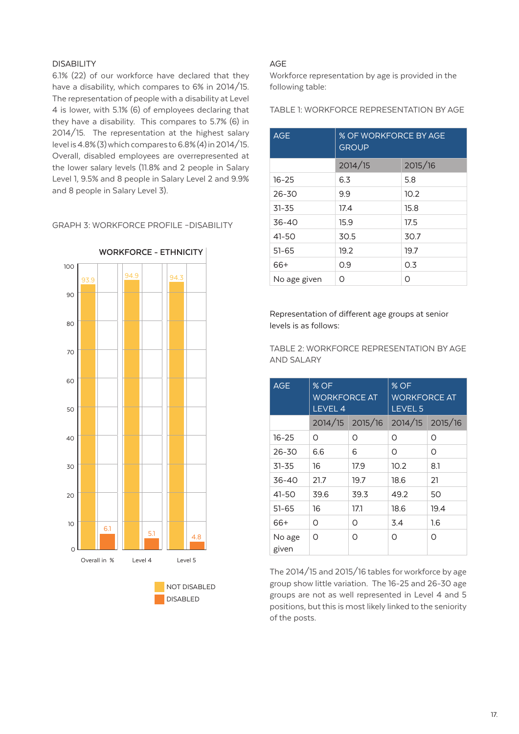# DISABILITY

6.1% (22) of our workforce have declared that they have a disability, which compares to 6% in 2014/15. The representation of people with a disability at Level 4 is lower, with 5.1% (6) of employees declaring that they have a disability. This compares to 5.7% (6) in 2014/15. The representation at the highest salary level is 4.8% (3) which compares to 6.8% (4) in 2014/15. Overall, disabled employees are overrepresented at the lower salary levels (11.8% and 2 people in Salary Level 1, 9.5% and 8 people in Salary Level 2 and 9.9% and 8 people in Salary Level 3).

GRAPH 3: WORKFORCE PROFILE –DISABILITY



DISABLED

**WORKFORCE - ETHNICITY**

## AGE

Workforce representation by age is provided in the following table:

TABLE 1: WORKFORCE REPRESENTATION BY AGE

| <b>AGE</b>   | % OF WORKFORCE BY AGE<br><b>GROUP</b> |         |
|--------------|---------------------------------------|---------|
|              | 2014/15                               | 2015/16 |
| $16 - 25$    | 6.3                                   | 5.8     |
| $26 - 30$    | 9.9                                   | 10.2    |
| $31 - 35$    | 17.4                                  | 15.8    |
| $36 - 40$    | 15.9                                  | 17.5    |
| $41 - 50$    | 30.5                                  | 30.7    |
| $51 - 65$    | 19.2                                  | 19.7    |
| 66+          | O.9                                   | 0.3     |
| No age given | ∩                                     | Ω       |

Representation of different age groups at senior levels is as follows:

TABLE 2: WORKFORCE REPRESENTATION BY AGE AND SALARY

| <b>AGE</b>      | % OF<br><b>WORKFORCE AT</b><br><b>LEVEL 4</b> |                 | % OF<br><b>WORKFORCE AT</b><br>LEVEL <sub>5</sub> |      |
|-----------------|-----------------------------------------------|-----------------|---------------------------------------------------|------|
|                 |                                               | 2014/15 2015/16 | 2014/15 2015/16                                   |      |
| $16 - 25$       | Ω                                             | Ω               | Ω                                                 | Ο    |
| $26 - 30$       | 6.6                                           | 6               | O                                                 | Ο    |
| $31 - 35$       | 16                                            | 17.9            | 10.2                                              | 8.1  |
| 36-40           | 21.7                                          | 19.7            | 18.6                                              | 21   |
| 41-50           | 39.6                                          | 39.3            | 49.2                                              | 50   |
| $51 - 65$       | 16                                            | 17.1            | 18.6                                              | 19.4 |
| 66+             | Ω                                             | Ω               | 3.4                                               | 1.6  |
| No age<br>given | Ω                                             | Ω               | Ω                                                 | Ω    |

The 2014/15 and 2015/16 tables for workforce by age group show little variation. The 16-25 and 26-30 age groups are not as well represented in Level 4 and 5 positions, but this is most likely linked to the seniority of the posts.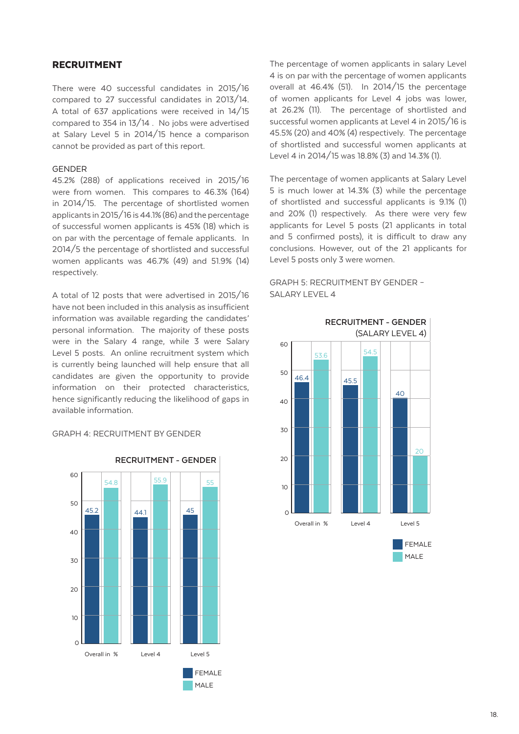# RECRUITMENT

There were 40 successful candidates in 2015/16 compared to 27 successful candidates in 2013/14. A total of 637 applications were received in 14/15 compared to 354 in 13/14 . No jobs were advertised at Salary Level 5 in 2014/15 hence a comparison cannot be provided as part of this report.

#### GENDER

45.2% (288) of applications received in 2015/16 were from women. This compares to 46.3% (164) in 2014/15. The percentage of shortlisted women applicants in 2015/16 is 44.1% (86) and the percentage of successful women applicants is 45% (18) which is on par with the percentage of female applicants. In 2014/5 the percentage of shortlisted and successful women applicants was 46.7% (49) and 51.9% (14) respectively.

A total of 12 posts that were advertised in 2015/16 have not been included in this analysis as insufficient information was available regarding the candidates' personal information. The majority of these posts were in the Salary 4 range, while 3 were Salary Level 5 posts. An online recruitment system which is currently being launched will help ensure that all candidates are given the opportunity to provide information on their protected characteristics, hence significantly reducing the likelihood of gaps in available information.

## GRAPH 4: RECRUITMENT BY GENDER



The percentage of women applicants in salary Level 4 is on par with the percentage of women applicants overall at 46.4% (51). In 2014/15 the percentage of women applicants for Level 4 jobs was lower, at 26.2% (11). The percentage of shortlisted and successful women applicants at Level 4 in 2015/16 is 45.5% (20) and 40% (4) respectively. The percentage of shortlisted and successful women applicants at Level 4 in 2014/15 was 18.8% (3) and 14.3% (1).

The percentage of women applicants at Salary Level 5 is much lower at 14.3% (3) while the percentage of shortlisted and successful applicants is 9.1% (1) and 20% (1) respectively. As there were very few applicants for Level 5 posts (21 applicants in total and 5 confirmed posts), it is difficult to draw any conclusions. However, out of the 21 applicants for Level 5 posts only 3 were women.



## GRAPH 5: RECRUITMENT BY GENDER – SALARY LEVEL 4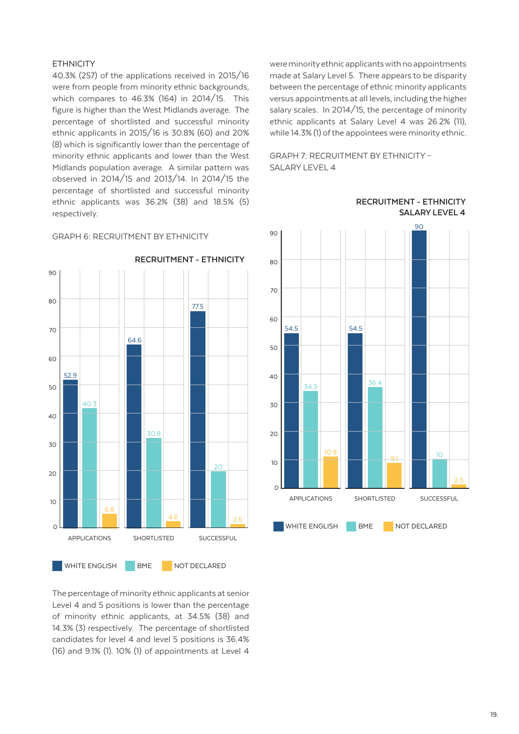## **FTHNICITY**

40.3% (257) of the applications received in 2015/16 were from people from minority ethnic backgrounds, which compares to 46.3% (164) in 2014/15. This figure is higher than the West Midlands average. The percentage of shortlisted and successful minority ethnic applicants in 2015/16 is 30.8% (60) and 20% (8) which is significantly lower than the percentage of minority ethnic applicants and lower than the West Midlands population average. A similar pattern was observed in 2014/15 and 2013/14. In 2014/15 the percentage of shortlisted and successful minority ethnic applicants was 36.2% (38) and 18.5% (5) respectively.

## GRAPH 6: RECRUITMENT BY ETHNICITY



The percentage of minority ethnic applicants at senior Level 4 and 5 positions is lower than the percentage of minority ethnic applicants, at 34.5% (38) and 14.3% (3) respectively. The percentage of shortlisted candidates for level 4 and level 5 positions is 36.4% (16) and 9.1% (1). 10% (1) of appointments at Level 4

were minority ethnic applicants with no appointments made at Salary Level 5. There appears to be disparity between the percentage of ethnic minority applicants versus appointments at all levels, including the higher salary scales. In 2014/15, the percentage of minority ethnic applicants at Salary Level 4 was 26.2% (11), while 14.3% (1) of the appointees were minority ethnic.

GRAPH 7: RECRUITMENT BY ETHNICITY – SALARY LEVEL 4



**RECRUITMENT - ETHNICITY SALARY LEVEL 4**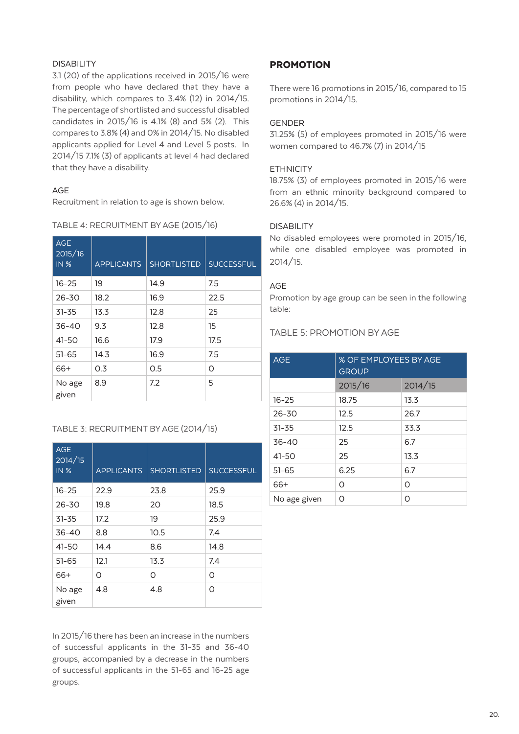## DISABILITY

3.1 (20) of the applications received in 2015/16 were from people who have declared that they have a disability, which compares to 3.4% (12) in 2014/15. The percentage of shortlisted and successful disabled candidates in 2015/16 is 4.1% (8) and 5% (2). This compares to 3.8% (4) and 0% in 2014/15. No disabled applicants applied for Level 4 and Level 5 posts. In 2014/15 7.1% (3) of applicants at level 4 had declared that they have a disability.

## AGE

Recruitment in relation to age is shown below.

|  | TABLE 4: RECRUITMENT BY AGE (2015/16) |  |  |
|--|---------------------------------------|--|--|
|  |                                       |  |  |

| <b>AGE</b><br>2015/16<br><b>IN %</b> | <b>APPLICANTS</b> | <b>SHORTLISTED</b> | <b>SUCCESSFUL</b> |
|--------------------------------------|-------------------|--------------------|-------------------|
| $16 - 25$                            | 19                | 14.9               | 7.5               |
| $26 - 30$                            | 18.2              | 16.9               | 22.5              |
| $31 - 35$                            | 13.3              | 12.8               | 25                |
| $36 - 40$                            | 9.3               | 12.8               | 15                |
| 41-50                                | 16.6              | 17.9               | 17.5              |
| $51 - 65$                            | 14.3              | 16.9               | 7.5               |
| 66+                                  | 0.3               | 0.5                | Ω                 |
| No age<br>given                      | 8.9               | 7.2                | 5                 |

# TABLE 3: RECRUITMENT BY AGE (2014/15)

| <b>AGE</b><br>2014/15<br><b>IN %</b> | <b>APPLICANTS</b> | <b>SHORTLISTED</b> | <b>SUCCESSFUL</b> |
|--------------------------------------|-------------------|--------------------|-------------------|
| $16 - 25$                            | 22.9              | 23.8               | 25.9              |
| $26 - 30$                            | 19.8              | 20                 | 18.5              |
| $31 - 35$                            | 17.2              | 19                 | 25.9              |
| $36 - 40$                            | 8.8               | 10.5               | 7.4               |
| 41-50                                | 14.4              | 8.6                | 14.8              |
| $51 - 65$                            | 12.1              | 13.3               | 7.4               |
| 66+                                  | Ο                 | Ω                  | O                 |
| No age<br>given                      | 4.8               | 4.8                | Ω                 |

In 2015/16 there has been an increase in the numbers of successful applicants in the 31-35 and 36-40 groups, accompanied by a decrease in the numbers of successful applicants in the 51-65 and 16-25 age groups.

# PROMOTION

There were 16 promotions in 2015/16, compared to 15 promotions in 2014/15.

# GENDER

31.25% (5) of employees promoted in 2015/16 were women compared to 46.7% (7) in 2014/15

# **FTHNICITY**

18.75% (3) of employees promoted in 2015/16 were from an ethnic minority background compared to 26.6% (4) in 2014/15.

## DISABILITY

No disabled employees were promoted in 2015/16, while one disabled employee was promoted in 2014/15.

## AGE

Promotion by age group can be seen in the following table:

# TABLE 5: PROMOTION BY AGE

| <b>AGE</b>   | % OF EMPLOYEES BY AGE<br><b>GROUP</b> |         |
|--------------|---------------------------------------|---------|
|              | 2015/16                               | 2014/15 |
| $16 - 25$    | 18.75                                 | 13.3    |
| $26 - 30$    | 12.5                                  | 26.7    |
| $31 - 35$    | 12.5                                  | 33.3    |
| $36 - 40$    | 25                                    | 6.7     |
| 41-50        | 25                                    | 13.3    |
| $51 - 65$    | 6.25                                  | 6.7     |
| 66+          | Ω                                     | Ο       |
| No age given | ∩                                     | Ω       |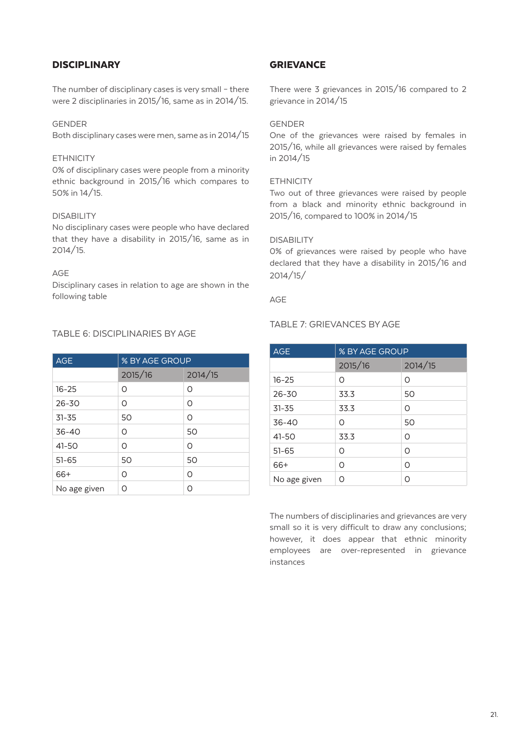# **DISCIPLINARY**

The number of disciplinary cases is very small – there were 2 disciplinaries in 2015/16, same as in 2014/15.

## GENDER

Both disciplinary cases were men, same as in 2014/15

#### **ETHNICITY**

0% of disciplinary cases were people from a minority ethnic background in 2015/16 which compares to 50% in 14/15.

## DISABILITY

No disciplinary cases were people who have declared that they have a disability in 2015/16, same as in 2014/15.

## AGE

Disciplinary cases in relation to age are shown in the following table

# TABLE 6: DISCIPLINARIES BY AGE

| <b>AGE</b>   | % BY AGE GROUP |         |
|--------------|----------------|---------|
|              | 2015/16        | 2014/15 |
| $16 - 25$    | ∩              | Ω       |
| $26 - 30$    | Ω              | Ω       |
| $31 - 35$    | 50             | 0       |
| $36 - 40$    | ∩              | 50      |
| $41 - 50$    | ∩              | Ω       |
| $51 - 65$    | 50             | 50      |
| 66+          | ∩              | Ω       |
| No age given | ∩              | ∩       |

# **GRIEVANCE**

There were 3 grievances in 2015/16 compared to 2 grievance in 2014/15

## GENDER

One of the grievances were raised by females in 2015/16, while all grievances were raised by females in 2014/15

#### **ETHNICITY**

Two out of three grievances were raised by people from a black and minority ethnic background in 2015/16, compared to 100% in 2014/15

## DISABILITY

0% of grievances were raised by people who have declared that they have a disability in 2015/16 and 2014/15/

## AGE

## TABLE 7: GRIEVANCES BY AGE

| <b>AGE</b>   | % BY AGE GROUP |         |
|--------------|----------------|---------|
|              | 2015/16        | 2014/15 |
| $16 - 25$    | Ω              | Ω       |
| $26 - 30$    | 33.3           | 50      |
| $31 - 35$    | 33.3           | O       |
| $36 - 40$    | Ω              | 50      |
| 41-50        | 33.3           | Ω       |
| $51 - 65$    | Ω              | Ω       |
| 66+          | Ω              | Ω       |
| No age given | Ω              | Ω       |

The numbers of disciplinaries and grievances are very small so it is very difficult to draw any conclusions; however, it does appear that ethnic minority employees are over-represented in grievance instances